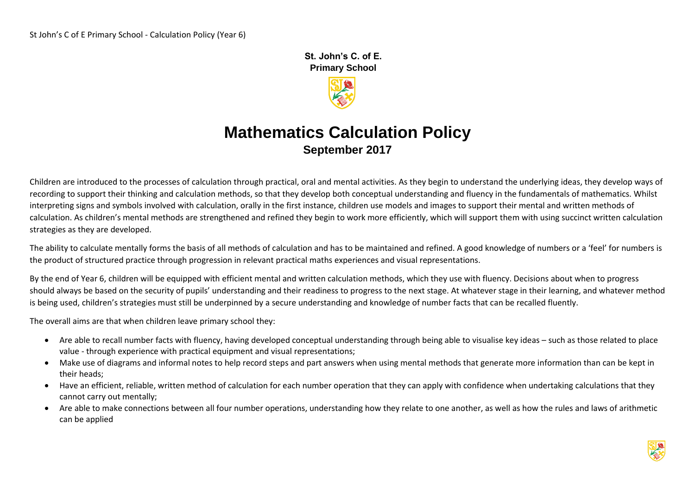**St. John's C. of E. Primary School** 



## **Mathematics Calculation Policy September 2017**

Children are introduced to the processes of calculation through practical, oral and mental activities. As they begin to understand the underlying ideas, they develop ways of recording to support their thinking and calculation methods, so that they develop both conceptual understanding and fluency in the fundamentals of mathematics. Whilst interpreting signs and symbols involved with calculation, orally in the first instance, children use models and images to support their mental and written methods of calculation. As children's mental methods are strengthened and refined they begin to work more efficiently, which will support them with using succinct written calculation strategies as they are developed.

The ability to calculate mentally forms the basis of all methods of calculation and has to be maintained and refined. A good knowledge of numbers or a 'feel' for numbers is the product of structured practice through progression in relevant practical maths experiences and visual representations.

By the end of Year 6, children will be equipped with efficient mental and written calculation methods, which they use with fluency. Decisions about when to progress should always be based on the security of pupils' understanding and their readiness to progress to the next stage. At whatever stage in their learning, and whatever method is being used, children's strategies must still be underpinned by a secure understanding and knowledge of number facts that can be recalled fluently.

The overall aims are that when children leave primary school they:

- Are able to recall number facts with fluency, having developed conceptual understanding through being able to visualise key ideas such as those related to place value - through experience with practical equipment and visual representations;
- Make use of diagrams and informal notes to help record steps and part answers when using mental methods that generate more information than can be kept in their heads;
- Have an efficient, reliable, written method of calculation for each number operation that they can apply with confidence when undertaking calculations that they cannot carry out mentally;
- Are able to make connections between all four number operations, understanding how they relate to one another, as well as how the rules and laws of arithmetic can be applied

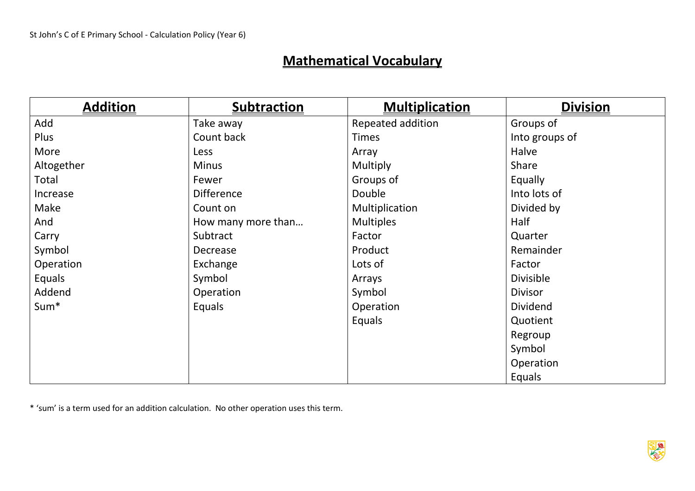# **Mathematical Vocabulary**

| <b>Addition</b>  | <b>Subtraction</b> | <b>Multiplication</b> | <b>Division</b> |
|------------------|--------------------|-----------------------|-----------------|
| Add              | Take away          | Repeated addition     | Groups of       |
| Plus             | Count back         | <b>Times</b>          | Into groups of  |
| More             | Less               | Array                 | Halve           |
| Altogether       | <b>Minus</b>       | Multiply              | Share           |
| Total            | Fewer              | Groups of             | Equally         |
| Increase         | <b>Difference</b>  | Double                | Into lots of    |
| Make             | Count on           | Multiplication        | Divided by      |
| And              | How many more than | <b>Multiples</b>      | Half            |
| Carry            | Subtract           | Factor                | Quarter         |
| Symbol           | Decrease           | Product               | Remainder       |
| Operation        | Exchange           | Lots of               | Factor          |
| Equals           | Symbol             | Arrays                | Divisible       |
| Addend           | Operation          | Symbol                | <b>Divisor</b>  |
| Sum <sup>*</sup> | Equals             | Operation             | <b>Dividend</b> |
|                  |                    | Equals                | Quotient        |
|                  |                    |                       | Regroup         |
|                  |                    |                       | Symbol          |
|                  |                    |                       | Operation       |
|                  |                    |                       | Equals          |

\* 'sum' is a term used for an addition calculation. No other operation uses this term.

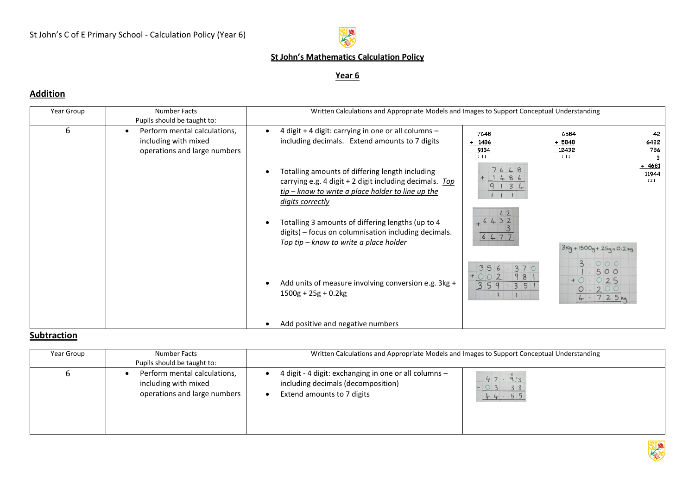

#### **St John's Mathematics Calculation Policy**

#### **Year 6**

### **Addition**

| Year Group | Number Facts<br>Pupils should be taught to:                                          | Written Calculations and Appropriate Models and Images to Support Conceptual Understanding                                                                                            |                                 |                                                        |
|------------|--------------------------------------------------------------------------------------|---------------------------------------------------------------------------------------------------------------------------------------------------------------------------------------|---------------------------------|--------------------------------------------------------|
| 6          | Perform mental calculations,<br>including with mixed<br>operations and large numbers | 4 digit + 4 digit: carrying in one or all columns -<br>including decimals. Extend amounts to 7 digits                                                                                 | 7648<br>+ 1486<br>9134<br>1 1 1 | 6584<br>42<br>6432<br>$+5848$<br>12432<br>786<br>1 1 1 |
|            |                                                                                      | Totalling amounts of differing length including<br>carrying e.g. 4 digit + 2 digit including decimals. Top<br>$tip - know to write a place holder to line up the$<br>digits correctly | 7648<br>1486<br>9134<br>111     | $+4681$<br>11944<br>121                                |
|            |                                                                                      | Totalling 3 amounts of differing lengths (up to 4<br>digits) – focus on columnisation including decimals.<br>Top tip - know to write a place holder                                   | 42<br>$+6432$<br>6477           | $3kg + 1500g + 25g + 0.2kg$                            |
|            |                                                                                      | Add units of measure involving conversion e.g. 3kg +<br>$1500g + 25g + 0.2kg$                                                                                                         | 356<br>359:35                   | 3.000<br>500<br>$+0.025$<br>0.200<br>4.725m            |
|            |                                                                                      | Add positive and negative numbers                                                                                                                                                     |                                 |                                                        |

#### **Subtraction**

| Year Group | Number Facts<br>Pupils should be taught to:                                          | Written Calculations and Appropriate Models and Images to Support Conceptual Understanding                                |                          |  |
|------------|--------------------------------------------------------------------------------------|---------------------------------------------------------------------------------------------------------------------------|--------------------------|--|
| O          | Perform mental calculations,<br>including with mixed<br>operations and large numbers | 4 digit - 4 digit: exchanging in one or all columns -<br>including decimals (decomposition)<br>Extend amounts to 7 digits | 47.913<br>03.38<br>44.55 |  |

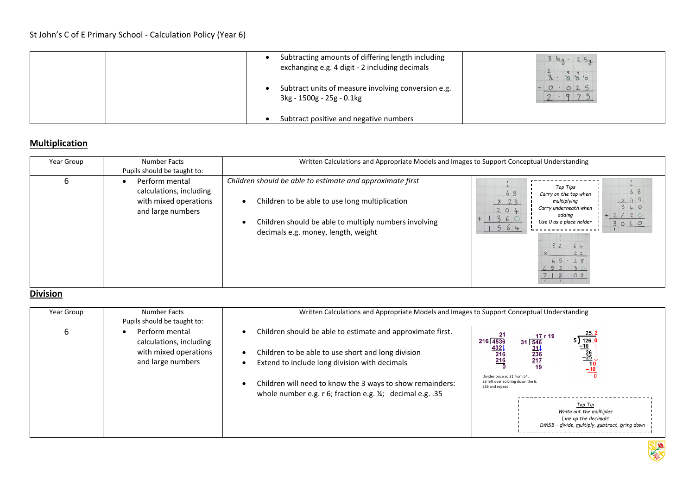|  | Subtracting amounts of differing length including<br>exchanging e.g. 4 digit - 2 including decimals<br>Subtract units of measure involving conversion e.g.<br>3kg - 1500g - 25g - 0.1kg | $3$ kg - 25g<br>3.8800<br>O O 25 |
|--|-----------------------------------------------------------------------------------------------------------------------------------------------------------------------------------------|----------------------------------|
|  | Subtract positive and negative numbers                                                                                                                                                  |                                  |

### **Multiplication**

| Year Group | <b>Number Facts</b><br>Pupils should be taught to:                                      | Written Calculations and Appropriate Models and Images to Support Conceptual Understanding                                                                                                                  |                                                                                                                                                                                                                                                    |  |
|------------|-----------------------------------------------------------------------------------------|-------------------------------------------------------------------------------------------------------------------------------------------------------------------------------------------------------------|----------------------------------------------------------------------------------------------------------------------------------------------------------------------------------------------------------------------------------------------------|--|
| ь          | Perform mental<br>calculations, including<br>with mixed operations<br>and large numbers | Children should be able to estimate and approximate first<br>Children to be able to use long multiplication<br>Children should be able to multiply numbers involving<br>decimals e.g. money, length, weight | Top Tips<br>68<br>68<br>Carry on the top when<br>$\times$ 45<br>multiplying<br>$\times$ 23<br>340<br>Carry underneath when<br>204<br>2720<br>adding<br>360<br>Use 0 as a place holder<br>3060<br>564<br>32.64<br>22<br>65.28<br>652.80<br>$718.08$ |  |

#### **Division**

| Year Group | Number Facts<br>Pupils should be taught to:                                             | Written Calculations and Appropriate Models and Images to Support Conceptual Understanding                                                                                                                                                                                                   |                                                                                                                                                                                                                                                                                                                                                                                                                                                              |
|------------|-----------------------------------------------------------------------------------------|----------------------------------------------------------------------------------------------------------------------------------------------------------------------------------------------------------------------------------------------------------------------------------------------|--------------------------------------------------------------------------------------------------------------------------------------------------------------------------------------------------------------------------------------------------------------------------------------------------------------------------------------------------------------------------------------------------------------------------------------------------------------|
| 6          | Perform mental<br>calculations, including<br>with mixed operations<br>and large numbers | Children should be able to estimate and approximate first.<br>Children to be able to use short and long division<br>Extend to include long division with decimals<br>Children will need to know the 3 ways to show remainders:<br>whole number e.g. r 6; fraction e.g. 1/4; decimal e.g. .35 | $5\frac{25.2}{\sqrt{126.0}}$<br>$\frac{-10}{26}$<br>$\frac{-25}{10}$<br>$\frac{-10}{-10}$<br>-21<br>$\begin{array}{r} 17 \text{ r} \\ 31 \overline{)546} \\ 31 \overline{)31} \\ 236 \end{array}$<br>216 4536<br>$\frac{4321}{216}$<br>$\frac{217}{19}$<br>Divides once so 31 from 54.<br>23 left over so bring down the 6.<br>236 and repeat<br>Top Tip<br>Write out the multiples<br>Line up the decimals<br>DMSB - divide, multiply, subtract, bring down |